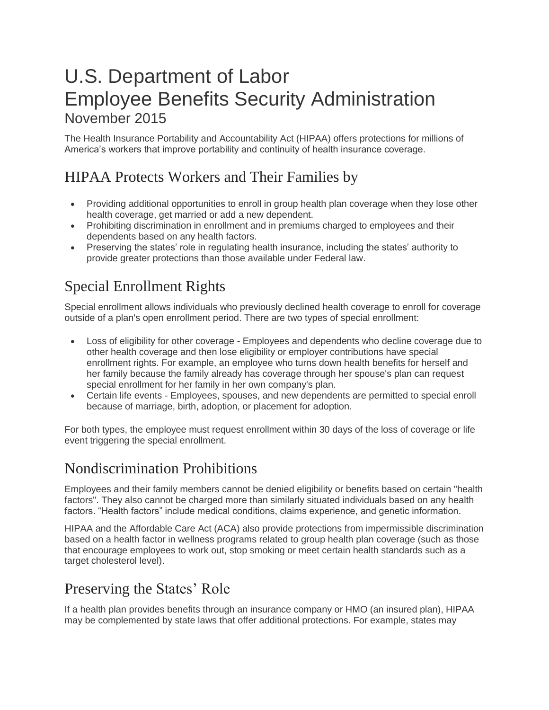# U.S. Department of Labor Employee Benefits Security Administration November 2015

The Health Insurance Portability and Accountability Act (HIPAA) offers protections for millions of America's workers that improve portability and continuity of health insurance coverage.

## HIPAA Protects Workers and Their Families by

- Providing additional opportunities to enroll in group health plan coverage when they lose other health coverage, get married or add a new dependent.
- Prohibiting discrimination in enrollment and in premiums charged to employees and their dependents based on any health factors.
- Preserving the states' role in regulating health insurance, including the states' authority to provide greater protections than those available under Federal law.

# Special Enrollment Rights

Special enrollment allows individuals who previously declined health coverage to enroll for coverage outside of a plan's open enrollment period. There are two types of special enrollment:

- Loss of eligibility for other coverage Employees and dependents who decline coverage due to other health coverage and then lose eligibility or employer contributions have special enrollment rights. For example, an employee who turns down health benefits for herself and her family because the family already has coverage through her spouse's plan can request special enrollment for her family in her own company's plan.
- Certain life events Employees, spouses, and new dependents are permitted to special enroll because of marriage, birth, adoption, or placement for adoption.

For both types, the employee must request enrollment within 30 days of the loss of coverage or life event triggering the special enrollment.

#### Nondiscrimination Prohibitions

Employees and their family members cannot be denied eligibility or benefits based on certain "health factors". They also cannot be charged more than similarly situated individuals based on any health factors. "Health factors" include medical conditions, claims experience, and genetic information.

HIPAA and the Affordable Care Act (ACA) also provide protections from impermissible discrimination based on a health factor in wellness programs related to group health plan coverage (such as those that encourage employees to work out, stop smoking or meet certain health standards such as a target cholesterol level).

### Preserving the States' Role

If a health plan provides benefits through an insurance company or HMO (an insured plan), HIPAA may be complemented by state laws that offer additional protections. For example, states may